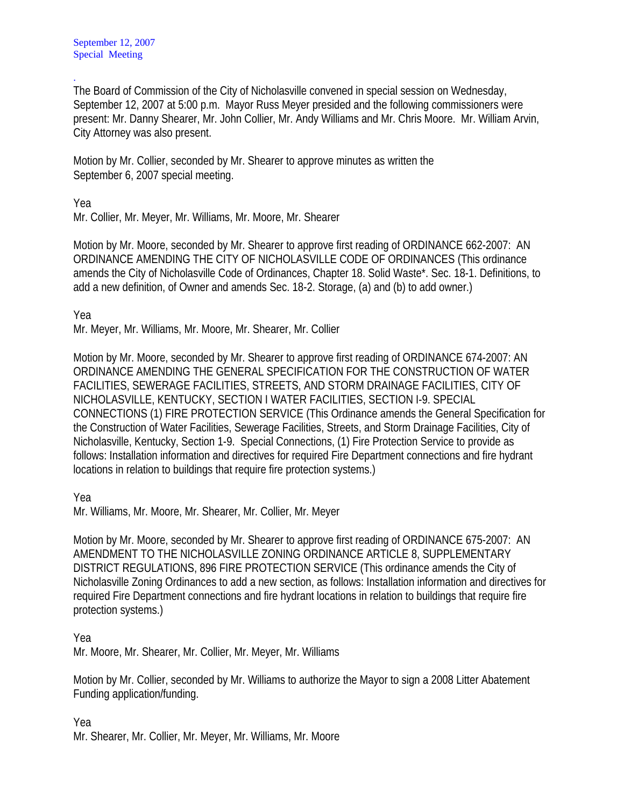. The Board of Commission of the City of Nicholasville convened in special session on Wednesday, September 12, 2007 at 5:00 p.m. Mayor Russ Meyer presided and the following commissioners were present: Mr. Danny Shearer, Mr. John Collier, Mr. Andy Williams and Mr. Chris Moore. Mr. William Arvin, City Attorney was also present.

Motion by Mr. Collier, seconded by Mr. Shearer to approve minutes as written the September 6, 2007 special meeting.

Yea

Mr. Collier, Mr. Meyer, Mr. Williams, Mr. Moore, Mr. Shearer

Motion by Mr. Moore, seconded by Mr. Shearer to approve first reading of ORDINANCE 662-2007: AN ORDINANCE AMENDING THE CITY OF NICHOLASVILLE CODE OF ORDINANCES (This ordinance amends the City of Nicholasville Code of Ordinances, Chapter 18. Solid Waste\*. Sec. 18-1. Definitions, to add a new definition, of Owner and amends Sec. 18-2. Storage, (a) and (b) to add owner.)

Yea

Mr. Meyer, Mr. Williams, Mr. Moore, Mr. Shearer, Mr. Collier

Motion by Mr. Moore, seconded by Mr. Shearer to approve first reading of ORDINANCE 674-2007: AN ORDINANCE AMENDING THE GENERAL SPECIFICATION FOR THE CONSTRUCTION OF WATER FACILITIES, SEWERAGE FACILITIES, STREETS, AND STORM DRAINAGE FACILITIES, CITY OF NICHOLASVILLE, KENTUCKY, SECTION I WATER FACILITIES, SECTION I-9. SPECIAL CONNECTIONS (1) FIRE PROTECTION SERVICE (This Ordinance amends the General Specification for the Construction of Water Facilities, Sewerage Facilities, Streets, and Storm Drainage Facilities, City of Nicholasville, Kentucky, Section 1-9. Special Connections, (1) Fire Protection Service to provide as follows: Installation information and directives for required Fire Department connections and fire hydrant locations in relation to buildings that require fire protection systems.)

Yea

Mr. Williams, Mr. Moore, Mr. Shearer, Mr. Collier, Mr. Meyer

Motion by Mr. Moore, seconded by Mr. Shearer to approve first reading of ORDINANCE 675-2007: AN AMENDMENT TO THE NICHOLASVILLE ZONING ORDINANCE ARTICLE 8, SUPPLEMENTARY DISTRICT REGULATIONS, 896 FIRE PROTECTION SERVICE (This ordinance amends the City of Nicholasville Zoning Ordinances to add a new section, as follows: Installation information and directives for required Fire Department connections and fire hydrant locations in relation to buildings that require fire protection systems.)

Yea

Mr. Moore, Mr. Shearer, Mr. Collier, Mr. Meyer, Mr. Williams

Motion by Mr. Collier, seconded by Mr. Williams to authorize the Mayor to sign a 2008 Litter Abatement Funding application/funding.

Yea

Mr. Shearer, Mr. Collier, Mr. Meyer, Mr. Williams, Mr. Moore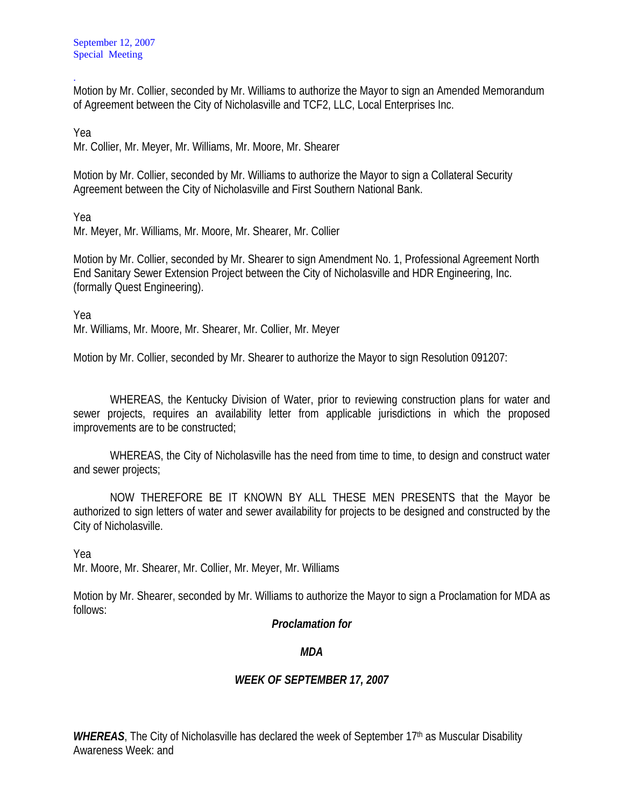. Motion by Mr. Collier, seconded by Mr. Williams to authorize the Mayor to sign an Amended Memorandum of Agreement between the City of Nicholasville and TCF2, LLC, Local Enterprises Inc.

Yea

Mr. Collier, Mr. Meyer, Mr. Williams, Mr. Moore, Mr. Shearer

Motion by Mr. Collier, seconded by Mr. Williams to authorize the Mayor to sign a Collateral Security Agreement between the City of Nicholasville and First Southern National Bank.

Yea

Mr. Meyer, Mr. Williams, Mr. Moore, Mr. Shearer, Mr. Collier

Motion by Mr. Collier, seconded by Mr. Shearer to sign Amendment No. 1, Professional Agreement North End Sanitary Sewer Extension Project between the City of Nicholasville and HDR Engineering, Inc. (formally Quest Engineering).

Yea

Mr. Williams, Mr. Moore, Mr. Shearer, Mr. Collier, Mr. Meyer

Motion by Mr. Collier, seconded by Mr. Shearer to authorize the Mayor to sign Resolution 091207:

 WHEREAS, the Kentucky Division of Water, prior to reviewing construction plans for water and sewer projects, requires an availability letter from applicable jurisdictions in which the proposed improvements are to be constructed;

 WHEREAS, the City of Nicholasville has the need from time to time, to design and construct water and sewer projects;

 NOW THEREFORE BE IT KNOWN BY ALL THESE MEN PRESENTS that the Mayor be authorized to sign letters of water and sewer availability for projects to be designed and constructed by the City of Nicholasville.

Yea

Mr. Moore, Mr. Shearer, Mr. Collier, Mr. Meyer, Mr. Williams

Motion by Mr. Shearer, seconded by Mr. Williams to authorize the Mayor to sign a Proclamation for MDA as follows:

## *Proclamation for*

## *MDA*

## *WEEK OF SEPTEMBER 17, 2007*

WHEREAS, The City of Nicholasville has declared the week of September 17<sup>th</sup> as Muscular Disability Awareness Week: and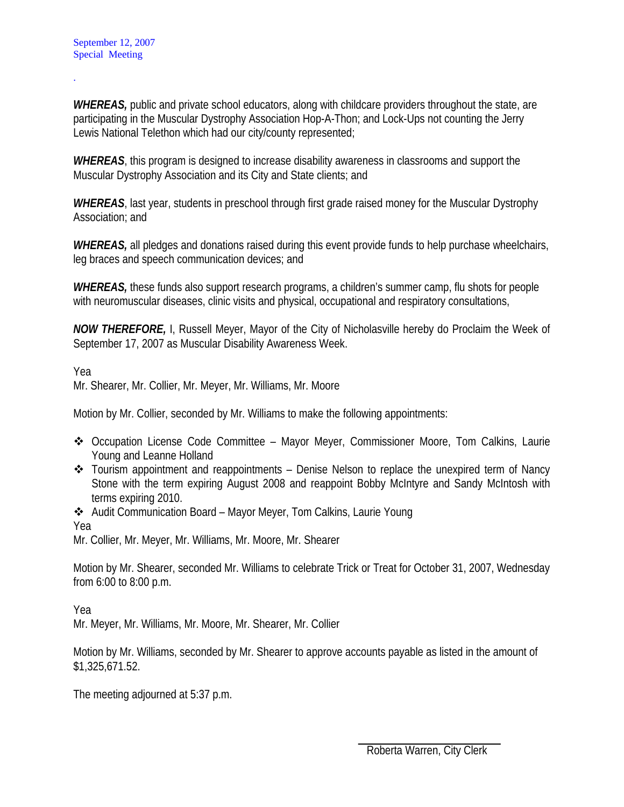.

*WHEREAS,* public and private school educators, along with childcare providers throughout the state, are participating in the Muscular Dystrophy Association Hop-A-Thon; and Lock-Ups not counting the Jerry Lewis National Telethon which had our city/county represented;

*WHEREAS*, this program is designed to increase disability awareness in classrooms and support the Muscular Dystrophy Association and its City and State clients; and

*WHEREAS*, last year, students in preschool through first grade raised money for the Muscular Dystrophy Association; and

*WHEREAS*, all pledges and donations raised during this event provide funds to help purchase wheelchairs, leg braces and speech communication devices; and

*WHEREAS,* these funds also support research programs, a children's summer camp, flu shots for people with neuromuscular diseases, clinic visits and physical, occupational and respiratory consultations,

*NOW THEREFORE,* I, Russell Meyer, Mayor of the City of Nicholasville hereby do Proclaim the Week of September 17, 2007 as Muscular Disability Awareness Week.

Yea

Mr. Shearer, Mr. Collier, Mr. Meyer, Mr. Williams, Mr. Moore

Motion by Mr. Collier, seconded by Mr. Williams to make the following appointments:

- Occupation License Code Committee Mayor Meyer, Commissioner Moore, Tom Calkins, Laurie Young and Leanne Holland
- \* Tourism appointment and reappointments Denise Nelson to replace the unexpired term of Nancy Stone with the term expiring August 2008 and reappoint Bobby McIntyre and Sandy McIntosh with terms expiring 2010.
- Audit Communication Board Mayor Meyer, Tom Calkins, Laurie Young

Yea

Mr. Collier, Mr. Meyer, Mr. Williams, Mr. Moore, Mr. Shearer

Motion by Mr. Shearer, seconded Mr. Williams to celebrate Trick or Treat for October 31, 2007, Wednesday from 6:00 to 8:00 p.m.

Yea

Mr. Meyer, Mr. Williams, Mr. Moore, Mr. Shearer, Mr. Collier

Motion by Mr. Williams, seconded by Mr. Shearer to approve accounts payable as listed in the amount of \$1,325,671.52.

The meeting adjourned at 5:37 p.m.

Roberta Warren, City Clerk